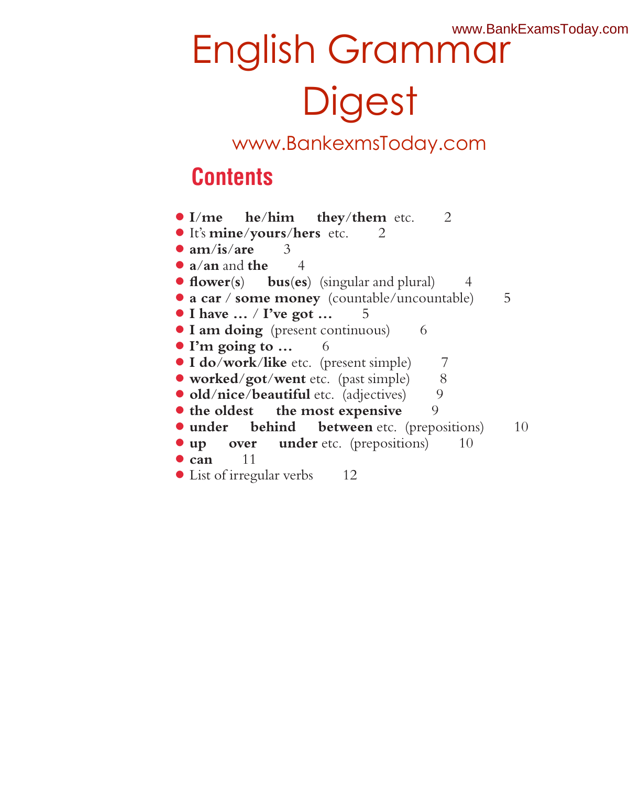#### www.BankExamsToday.com

# English Grammar **Digest**

### www.BankexmsToday.com

### **Contents**

● **I**/**me he**/**him they**/**them** etc. 2 ● It's **mine**/**yours**/**hers** etc. 2 ● **am**/**is**/**are** 3 ● **a**/**an** and **the** 4 ● **flower**(**s**) **bus**(**es**) (singular and plural) 4 ● **a car** / **some money** (countable/uncountable) 5 ● **I have …** / **I've got …** 5 **I am doing** (present continuous) 6 ● **I'm going to …** 6 ● **I do**/**work**/**like** etc. (present simple) 7 ● **worked**/**got**/**went** etc. (past simple) 8 **•** old/nice/beautiful etc. (adjectives) 9 **• the oldest** the most expensive 9 **• under behind between** etc. (prepositions) 10 **the up over under** etc. (prepositions) 10 ● **can** 11 ● List of irregular verbs 12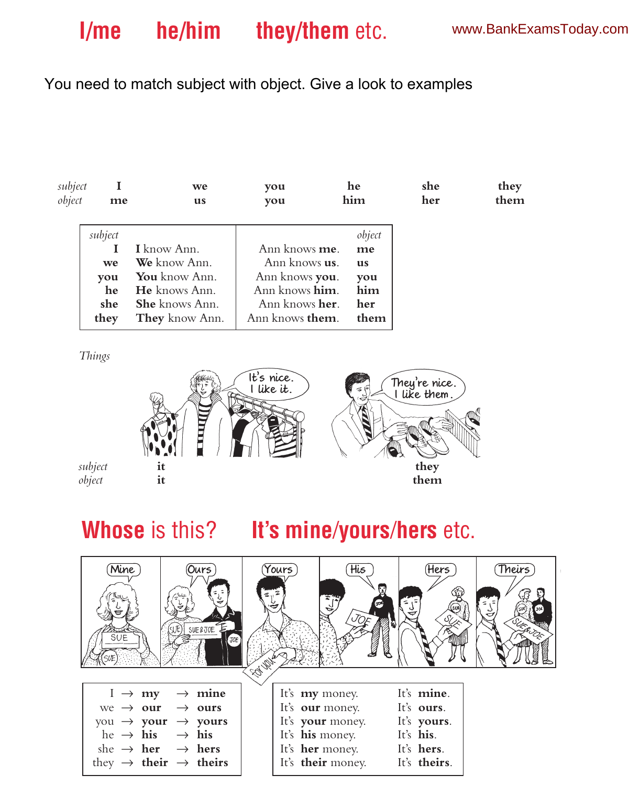### You need to match subject with object. Give a look to examples

| subject<br>object | me      | we<br>us              | you<br>you              | he<br>him | she<br>her | they<br>them |
|-------------------|---------|-----------------------|-------------------------|-----------|------------|--------------|
|                   | subject |                       |                         | object    |            |              |
|                   |         | I know Ann.           | Ann knows <b>me</b> .   | me        |            |              |
|                   | we      | We know Ann.          | Ann knows <b>us</b> .   | us        |            |              |
|                   | you     | You know Ann.         | Ann knows you.          | you       |            |              |
|                   | he      | He knows Ann.         | Ann knows him.          | him       |            |              |
|                   | she     | <b>She</b> knows Ann. | Ann knows <b>her</b> .  | her       |            |              |
|                   | they    | <b>They</b> know Ann. | Ann knows <b>them</b> . | them      |            |              |

*Things*



# **Whose** is this? **It's mine**/**yours**/**hers** etc.

| Mine<br>SUE                                                  | Ours<br>SUE & JOE                                                                                                                                                                                        | Yours) | His                                                                                                                                                                      | (Hers                                                                      | Theirs <sup>7</sup> |
|--------------------------------------------------------------|----------------------------------------------------------------------------------------------------------------------------------------------------------------------------------------------------------|--------|--------------------------------------------------------------------------------------------------------------------------------------------------------------------------|----------------------------------------------------------------------------|---------------------|
| $I \rightarrow my$<br>he $\rightarrow$ his $\rightarrow$ his | $\rightarrow$ mine<br>we $\rightarrow$ our $\rightarrow$ ours<br>you $\rightarrow$ your $\rightarrow$ yours<br>she $\rightarrow$ her $\rightarrow$ hers<br>they $\rightarrow$ their $\rightarrow$ theirs |        | It's <b>my</b> money.<br>It's <b>our</b> money.<br>It's your money.<br>It's <b>his</b> money.<br>It's <b>her</b> money.<br>It's <b>their</b> money. It's <b>theirs</b> . | It's mine.<br>It's <b>ours</b> .<br>It's yours.<br>It's his.<br>It's hers. |                     |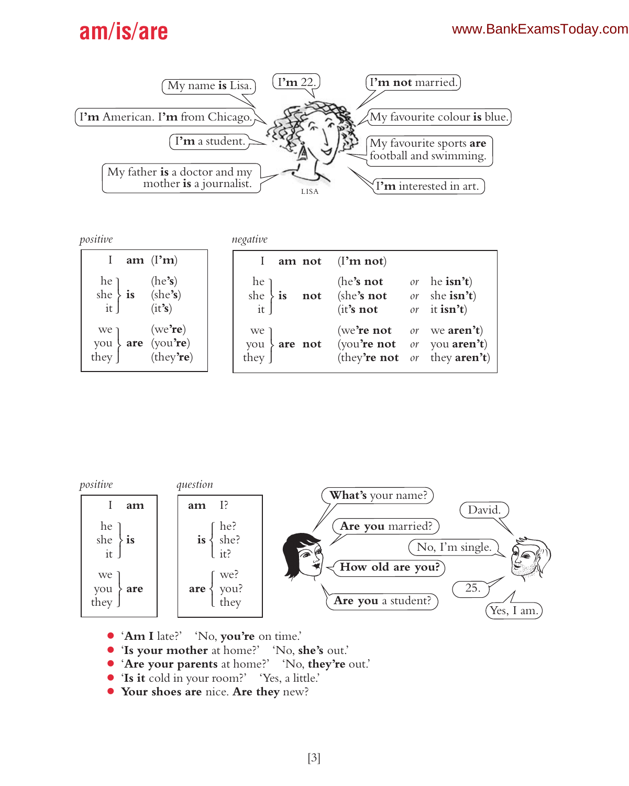### **am**/**is**/**are**



| positive |  |
|----------|--|
|          |  |

she **is** (she**'s**) it (it**'s**) we (we**'re**) you **are** (you**'re**) they

*positive negative*

|                                                                                                                                      | $\cdots$ $\cdots$                                                   |                             |                                                                                        |                  |
|--------------------------------------------------------------------------------------------------------------------------------------|---------------------------------------------------------------------|-----------------------------|----------------------------------------------------------------------------------------|------------------|
| $\mathbf{I}$<br>am $(\mathbf{l}^{\prime}\mathbf{m})$                                                                                 |                                                                     |                             | am not $(I'm not)$                                                                     |                  |
| he<br>he<br>it<br>is (she's)<br>it<br>(it's)                                                                                         | $\begin{cases} \text{he} \\ \text{she} \\ \text{it} \end{cases}$ is | $\mathop{\rm not}\nolimits$ | (he's not)<br>(she's not $or$ she isn't)<br>$(it's not$ or it isn't)                   | or he $\sin^3 t$ |
| $\begin{cases} \n\text{we} \text{re} \\ \text{ou} \text{are} \quad \text{(you're)} \\ \text{by} \quad \text{(they're)}\n\end{cases}$ | we 1<br>you<br>they                                                 | $\{$ are not                | (we're not or we aren't)<br>(you're not or you aren't)<br>(they're not or they aren't) |                  |



- '**Am I** late?' 'No, **you're** on time.'
- '**Is your mother** at home?' 'No, **she's** out.'
- '**Are your parents** at home?' 'No, **they're** out.'
- '**Is it** cold in your room?' 'Yes, a little.'
- **Your shoes are** nice. **Are they** new?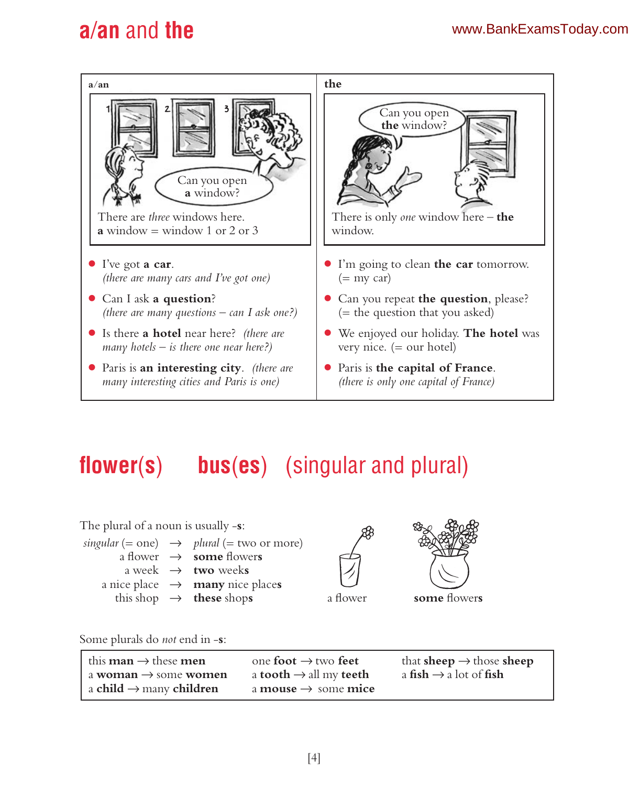# **a**/**an** and **the**



# **flower**(**s**) **bus**(**es**) (singular and plural)

| The plural of a noun is usually $-s$ : |                                                       |          |
|----------------------------------------|-------------------------------------------------------|----------|
|                                        | singular (= one) $\rightarrow$ plural (= two or more) |          |
|                                        | a flower $\rightarrow$ <b>some</b> flowers            |          |
|                                        | a week $\rightarrow$ two weeks                        |          |
|                                        | a nice place $\rightarrow$ <b>many</b> nice places    |          |
|                                        | this shop $\rightarrow$ these shops                   | a flower |



some flowers

Some plurals do *not* end in -**s**:

| I this <b>man</b> $\rightarrow$ these <b>men</b> | one foot $\rightarrow$ two feet               | that <b>sheep</b> $\rightarrow$ those <b>sheep</b> |
|--------------------------------------------------|-----------------------------------------------|----------------------------------------------------|
| $\vert$ a woman $\rightarrow$ some women         | a tooth $\rightarrow$ all my teeth            | a fish $\rightarrow$ a lot of fish                 |
| $\mid$ a child $\rightarrow$ many children       | a <b>mouse</b> $\rightarrow$ some <b>mice</b> |                                                    |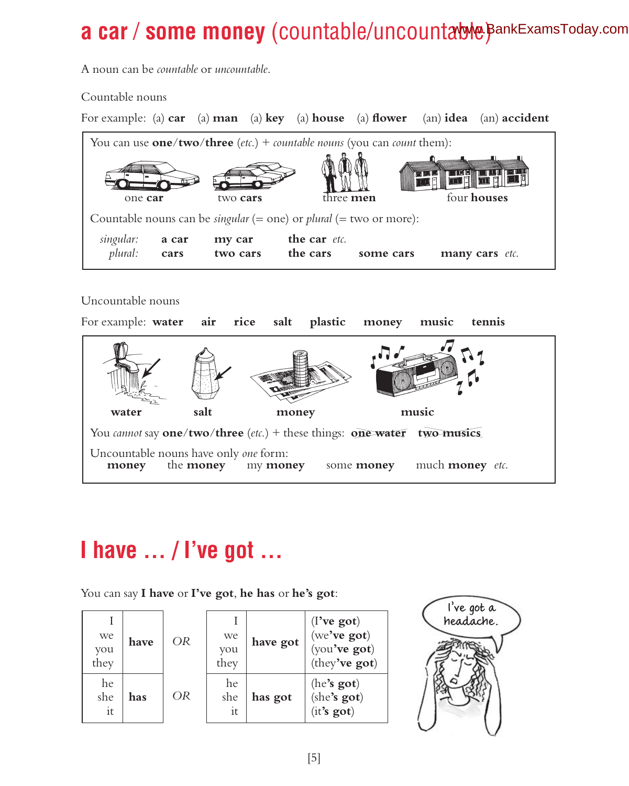# **a car / some money** (countable/uncountable) BankExamsToday.com

A noun can be *countable* or *uncountable*.

Countable nouns

| For example: (a) $car$ (a) $man$ (a) $key$ (a) house (a) flower (an) idea (an) accident                |                    |                          |           |  |                |
|--------------------------------------------------------------------------------------------------------|--------------------|--------------------------|-----------|--|----------------|
| You can use <b>one/two/three</b> ( <i>etc.</i> ) + <i>countable nouns</i> (you can <i>count</i> them): |                    |                          |           |  |                |
| one car                                                                                                | two cars           | three <b>men</b>         |           |  | four houses    |
| Countable nouns can be <i>singular</i> (= one) or <i>plural</i> (= two or more):                       |                    |                          |           |  |                |
| singular:<br>a car<br>plural:<br>cars                                                                  | my car<br>two cars | the car etc.<br>the cars | some cars |  | many cars etc. |

#### Uncountable nouns



# **I have … / I've got …**

You can say **I have** or **I've got**, **he has** or **he's got**:

| we<br>you<br>they | have | <b>OR</b> | we<br>vou<br>they | have got | $(I$ 've got)<br>(we've got)<br>(you've got)<br>(they've got) |
|-------------------|------|-----------|-------------------|----------|---------------------------------------------------------------|
| he<br>she<br>it   | has  | OR        | he<br>she<br>it   | has got  | (he's got)<br>(she's got)<br>(it's got)                       |

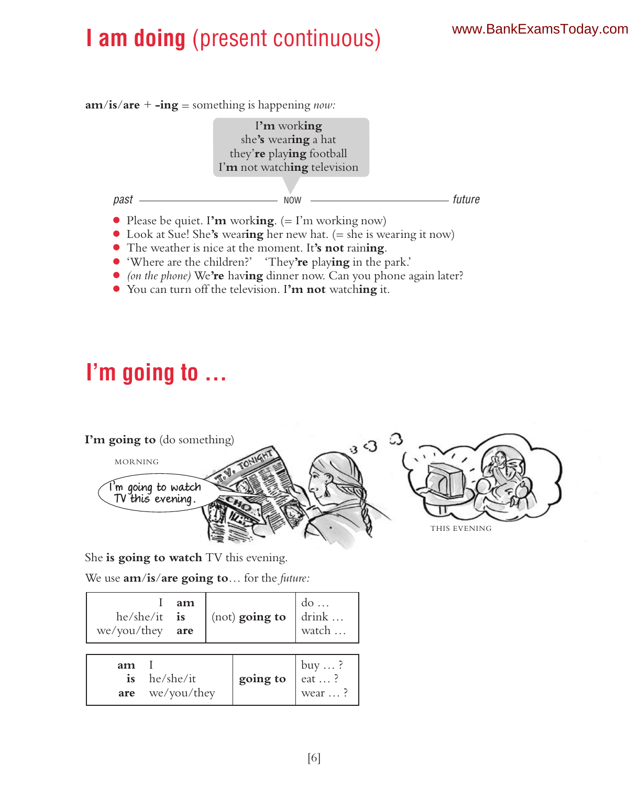# **I am doing** (present continuous)

**am**/**is**/**are** + **-ing** = something is happening *now:*



- Look at Sue! She**'s** wear**ing** her new hat. (= she is wearing it now)
- The weather is nice at the moment. It**'s not** rain**ing**.
- 'Where are the children?' 'They**'re** play**ing** in the park.'
- *(on the phone)* We**'re** hav**ing** dinner now. Can you phone again later?
- You can turn off the television. I**'m not** watch**ing** it.

# **I'm going to …**



She **is going to watch** TV this evening.

We use **am**/**is**/**are going to**… for the *future:*

| $he/she/it$ is<br>$we/you/they$ are | am                       | (not) going to | $\begin{bmatrix} \n\text{do} \dots \\ \n\text{drink} \dots \n\end{bmatrix}$<br>watch |
|-------------------------------------|--------------------------|----------------|--------------------------------------------------------------------------------------|
| am<br><i>is</i><br>are              | he/she/it<br>we/you/they | going to       | buy  ?<br>eat  ?<br>wear ?                                                           |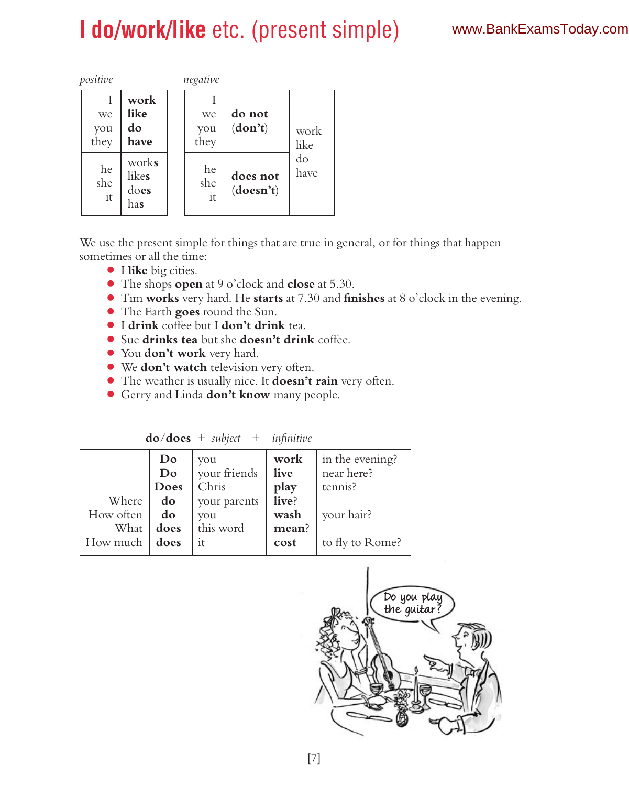# **I do/work/like** etc. (present simple)

| positive          |                               | negative                                 |              |
|-------------------|-------------------------------|------------------------------------------|--------------|
| we<br>you<br>they | work<br>like<br>do<br>have    | do not<br>we<br>(don't)<br>vou<br>they   | work<br>like |
| he<br>she<br>it   | works<br>likes<br>does<br>has | he<br>does not<br>she<br>(doesn't)<br>it | do<br>have   |

We use the present simple for things that are true in general, or for things that happen sometimes or all the time:

- I **like** big cities.
- The shops **open** at 9 o'clock and **close** at 5.30.
- Tim **works** very hard. He **starts** at 7.30 and **finishes** at 8 o'clock in the evening.
- The Earth **goes** round the Sun.
- I **drink** coffee but I **don't drink** tea.
- Sue **drinks tea** but she **doesn't drink** coffee.
- You **don't work** very hard.
- We **don't watch** television very often.
- The weather is usually nice. It **doesn't rain** very often.
- Gerry and Linda **don't know** many people.

|           | Do   | vou          | work  | in the evening? |
|-----------|------|--------------|-------|-----------------|
|           | Do   | your friends | live  | near here?      |
|           | Does | Chris        | play  | tennis?         |
| Where     | do   | your parents | live? |                 |
| How often | do   | you          | wash  | your hair?      |
| What      | does | this word    | mean? |                 |
| How much  | does | it.          | cost  | to fly to Rome? |
|           |      |              |       |                 |

**do**/**does** + *subject* + *infinitive*

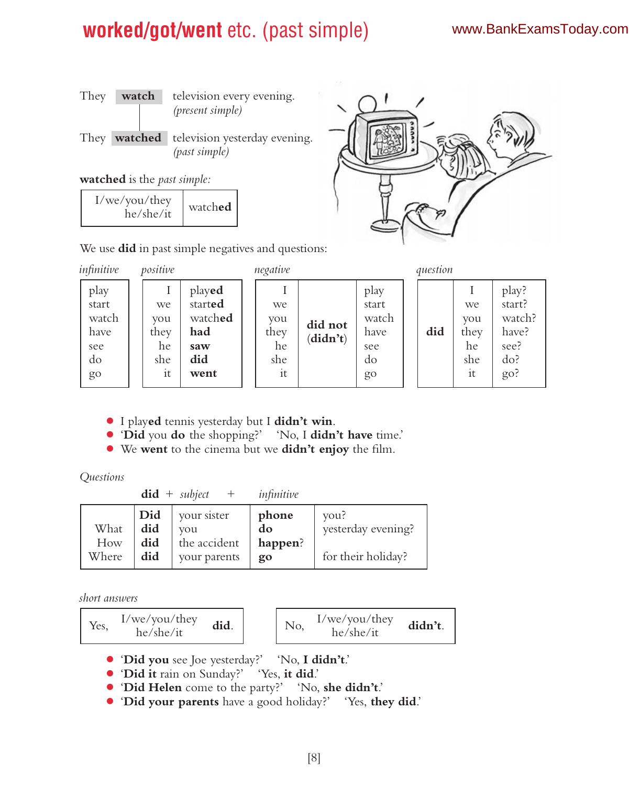### **worked/got/went** etc. (past simple)

#### www.BankExamsToday.com



#### **watched** is the *past simple:*

| I/we/you/they<br>he/she/it | watched |
|----------------------------|---------|
|----------------------------|---------|

We use **did** in past simple negatives and questions:

| infinitive                                        | positive                             |                                                           | negative                             |                     |                                                   | question |                                      |                                                          |
|---------------------------------------------------|--------------------------------------|-----------------------------------------------------------|--------------------------------------|---------------------|---------------------------------------------------|----------|--------------------------------------|----------------------------------------------------------|
| play<br>start<br>watch<br>have<br>see<br>do<br>go | we<br>vou<br>they<br>he<br>she<br>it | played<br>started<br>watched<br>had<br>saw<br>did<br>went | we<br>vou<br>they<br>he<br>she<br>it | did not<br>(didn't) | play<br>start<br>watch<br>have<br>see<br>do<br>go | did      | we<br>vou<br>they<br>he<br>she<br>it | play?<br>start?<br>watch?<br>have?<br>see?<br>do?<br>go? |

- I play**ed** tennis yesterday but I **didn't win**.
- '**Did** you **do** the shopping?' 'No, I **didn't have** time.'
- We **went** to the cinema but we **didn't enjoy** the film.

#### *Questions*

**did** + *subject* + *infinitive*

|       | Did | vour sister  | phone   | vou?               |
|-------|-----|--------------|---------|--------------------|
| What  | did | vou          | do      | vesterday evening? |
| How   | did | the accident | happen? |                    |
| Where | did | your parents | go      | for their holiday? |

*short answers*

| I/we/vou/they | I/we/you/they |
|---------------|---------------|
| did.          | didn't.       |
| Yes.          | No.           |
| he/she/it     | he/she/it     |

- '**Did you** see Joe yesterday?' 'No, **I didn't**.'
- '**Did it** rain on Sunday?' 'Yes, **it did**.'
- '**Did Helen** come to the party?' 'No, **she didn't**.'
- '**Did your parents** have a good holiday?' 'Yes, **they did**.'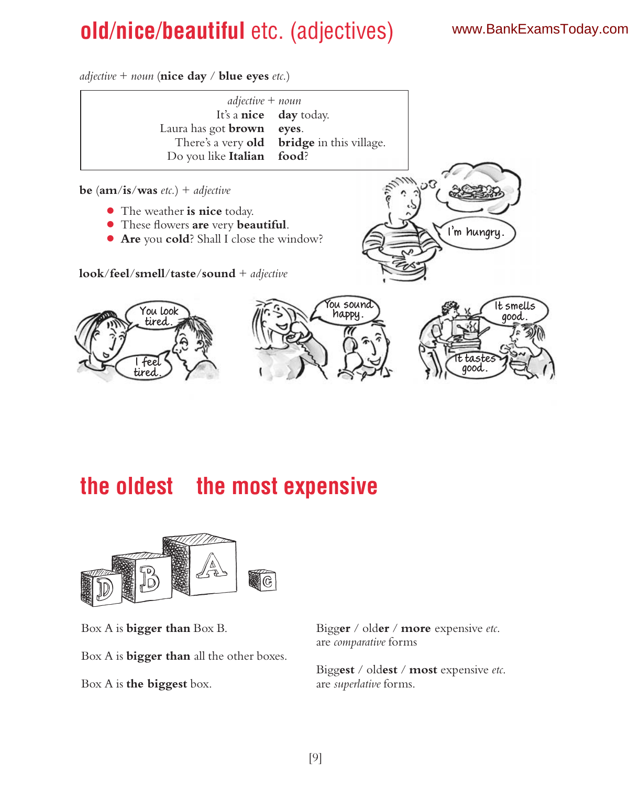# **old**/**nice**/**beautiful** etc. (adjectives)

#### www.BankExamsToday.com

*adjective* + *noun* (**nice day** / **blue eyes** *etc.*)



### **the oldest the most expensive**



Box A is **bigger than** Box B. Bigg**er** / old**er** / **more** expensive *etc*. Box A is **bigger than** all the other boxes. Box A is **the biggest** box. are *superlative* forms.

are *comparative* forms

Bigg**est** / old**est** / **most** expensive *etc*.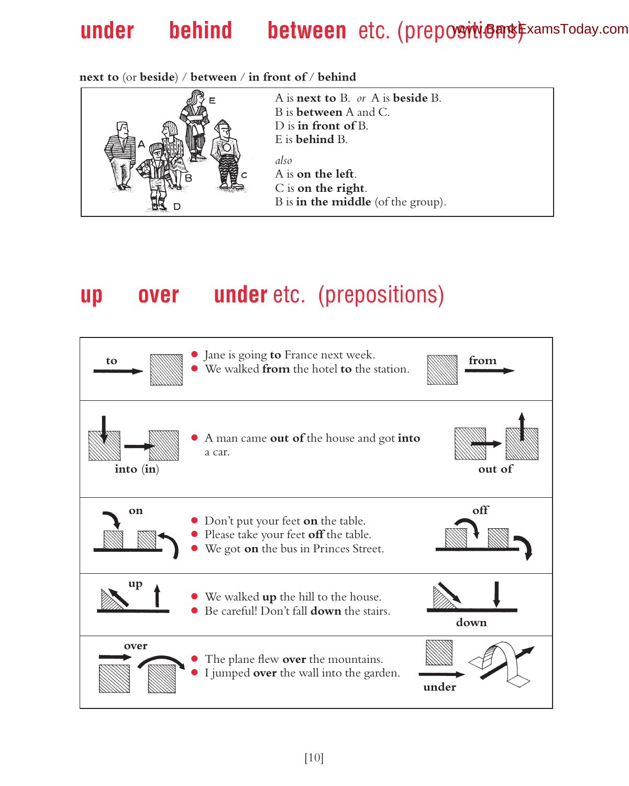# under behind between etc. (prepositions) FxamsToday.com

**next to** (or **beside**) / **between** / **in front of** / **behind**



### **up over under** etc. (prepositions)

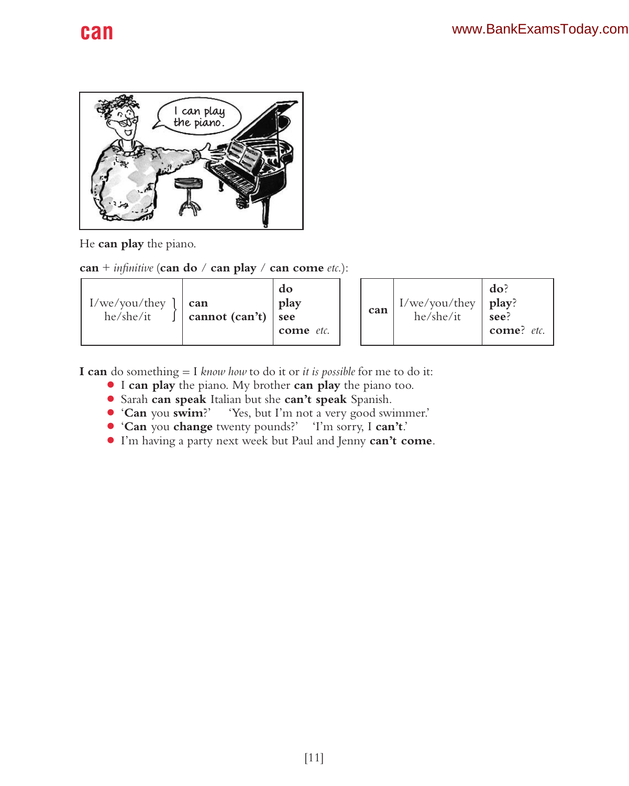

He **can play** the piano.

**can** + *infinitive* (**can do** / **can play** / **can come** *etc.*):

| I/we/vou/they<br>he/she/it | can<br>cannot $(\text{can't})$ see | do<br>play<br>come etc. | can |  | $I/we/you/$ they<br>he/she/it | do?<br>play?<br>see?<br>$comel$ etc. |
|----------------------------|------------------------------------|-------------------------|-----|--|-------------------------------|--------------------------------------|
|----------------------------|------------------------------------|-------------------------|-----|--|-------------------------------|--------------------------------------|

**I can** do something = I *know how* to do it or *it is possible* for me to do it:

- I **can play** the piano. My brother **can play** the piano too.
- Sarah **can speak** Italian but she **can't speak** Spanish.
- '**Can** you **swim**?' 'Yes, but I'm not a very good swimmer.'
- '**Can** you **change** twenty pounds?' 'I'm sorry, I **can't**.'
- I'm having a party next week but Paul and Jenny **can't come**.